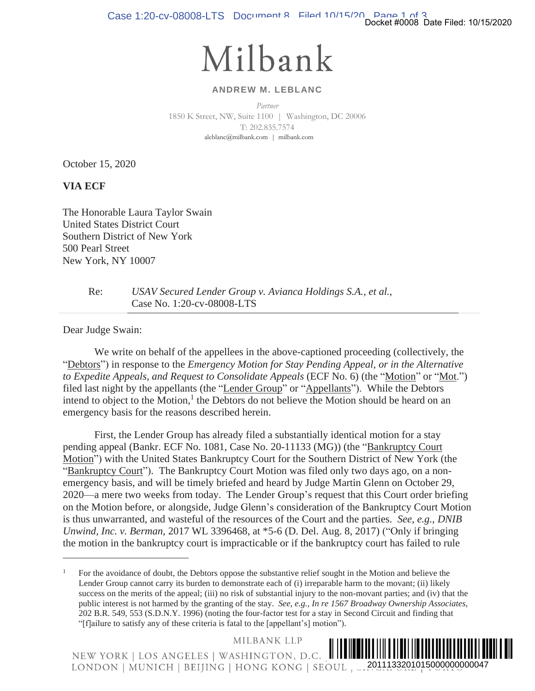Case 1:20-cv-08008-LTS Document 8 Filed 10/15/20 Page 1 of 3<br>Docket #0008 Date Filed: 10/15/2020

## Milbank

## **ANDREW M. LEBLANC**

*Partner*  1850 K Street, NW, Suite 1100 | Washington, DC 20006 T: 202.835.7574 aleblanc@milbank.com | milbank.com

October 15, 2020

**VIA ECF** 

The Honorable Laura Taylor Swain United States District Court Southern District of New York 500 Pearl Street New York, NY 10007

> Re: *USAV Secured Lender Group v. Avianca Holdings S.A., et al.*, Case No. 1:20-cv-08008-LTS

Dear Judge Swain:

 We write on behalf of the appellees in the above-captioned proceeding (collectively, the "Debtors") in response to the *Emergency Motion for Stay Pending Appeal, or in the Alternative to Expedite Appeals, and Request to Consolidate Appeals* (ECF No. 6) (the "Motion" or "Mot.") filed last night by the appellants (the "Lender Group" or "Appellants"). While the Debtors intend to object to the Motion,<sup>1</sup> the Debtors do not believe the Motion should be heard on an emergency basis for the reasons described herein.

 First, the Lender Group has already filed a substantially identical motion for a stay pending appeal (Bankr. ECF No. 1081, Case No. 20-11133 (MG)) (the "Bankruptcy Court Motion") with the United States Bankruptcy Court for the Southern District of New York (the "Bankruptcy Court"). The Bankruptcy Court Motion was filed only two days ago, on a nonemergency basis, and will be timely briefed and heard by Judge Martin Glenn on October 29, 2020—a mere two weeks from today. The Lender Group's request that this Court order briefing on the Motion before, or alongside, Judge Glenn's consideration of the Bankruptcy Court Motion is thus unwarranted, and wasteful of the resources of the Court and the parties. *See*, *e.g.*, *DNIB Unwind, Inc. v. Berman*, 2017 WL 3396468, at \*5-6 (D. Del. Aug. 8, 2017) ("Only if bringing the motion in the bankruptcy court is impracticable or if the bankruptcy court has failed to rule eraling (collectively, the ending the filed: 10/15/2020<br>
2011 of the Alternative dal, or in the Alternative<br>
al, or in the Alternative<br>
the "Motion" or "Moti.")<br>
While the Debtors<br>
2011 be heard on an<br>
1 motion for a stay<br>

MILBANK LLP

¨2¤!+A4\*/ OY«

<sup>1</sup> For the avoidance of doubt, the Debtors oppose the substantive relief sought in the Motion and believe the Lender Group cannot carry its burden to demonstrate each of (i) irreparable harm to the movant; (ii) likely success on the merits of the appeal; (iii) no risk of substantial injury to the non-movant parties; and (iv) that the public interest is not harmed by the granting of the stay. *See*, *e.g.*, *In re 1567 Broadway Ownership Associates*, 202 B.R. 549, 553 (S.D.N.Y. 1996) (noting the four-factor test for a stay in Second Circuit and finding that "[f]ailure to satisfy any of these criteria is fatal to the [appellant's] motion").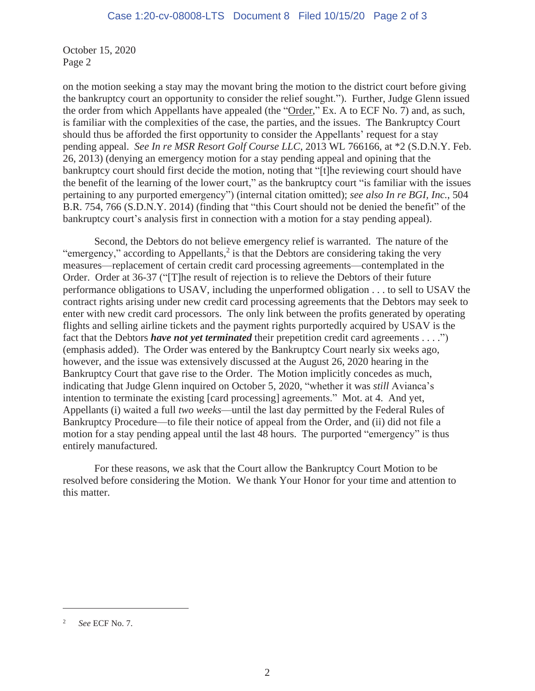October 15, 2020 Page 2

on the motion seeking a stay may the movant bring the motion to the district court before giving the bankruptcy court an opportunity to consider the relief sought."). Further, Judge Glenn issued the order from which Appellants have appealed (the "Order," Ex. A to ECF No. 7) and, as such, is familiar with the complexities of the case, the parties, and the issues. The Bankruptcy Court should thus be afforded the first opportunity to consider the Appellants' request for a stay pending appeal. *See In re MSR Resort Golf Course LLC*, 2013 WL 766166, at \*2 (S.D.N.Y. Feb. 26, 2013) (denying an emergency motion for a stay pending appeal and opining that the bankruptcy court should first decide the motion, noting that "[t]he reviewing court should have the benefit of the learning of the lower court," as the bankruptcy court "is familiar with the issues pertaining to any purported emergency") (internal citation omitted); *see also In re BGI, Inc.*, 504 B.R. 754, 766 (S.D.N.Y. 2014) (finding that "this Court should not be denied the benefit" of the bankruptcy court's analysis first in connection with a motion for a stay pending appeal).

 Second, the Debtors do not believe emergency relief is warranted. The nature of the "emergency," according to Appellants, $2$  is that the Debtors are considering taking the very measures—replacement of certain credit card processing agreements—contemplated in the Order. Order at 36-37 ("[T]he result of rejection is to relieve the Debtors of their future performance obligations to USAV, including the unperformed obligation . . . to sell to USAV the contract rights arising under new credit card processing agreements that the Debtors may seek to enter with new credit card processors. The only link between the profits generated by operating flights and selling airline tickets and the payment rights purportedly acquired by USAV is the fact that the Debtors *have not yet terminated* their prepetition credit card agreements . . . .") (emphasis added). The Order was entered by the Bankruptcy Court nearly six weeks ago, however, and the issue was extensively discussed at the August 26, 2020 hearing in the Bankruptcy Court that gave rise to the Order. The Motion implicitly concedes as much, indicating that Judge Glenn inquired on October 5, 2020, "whether it was *still* Avianca's intention to terminate the existing [card processing] agreements." Mot. at 4. And yet, Appellants (i) waited a full *two weeks*—until the last day permitted by the Federal Rules of Bankruptcy Procedure—to file their notice of appeal from the Order, and (ii) did not file a motion for a stay pending appeal until the last 48 hours. The purported "emergency" is thus entirely manufactured.

For these reasons, we ask that the Court allow the Bankruptcy Court Motion to be resolved before considering the Motion. We thank Your Honor for your time and attention to this matter.

<sup>2</sup> *See* ECF No. 7.